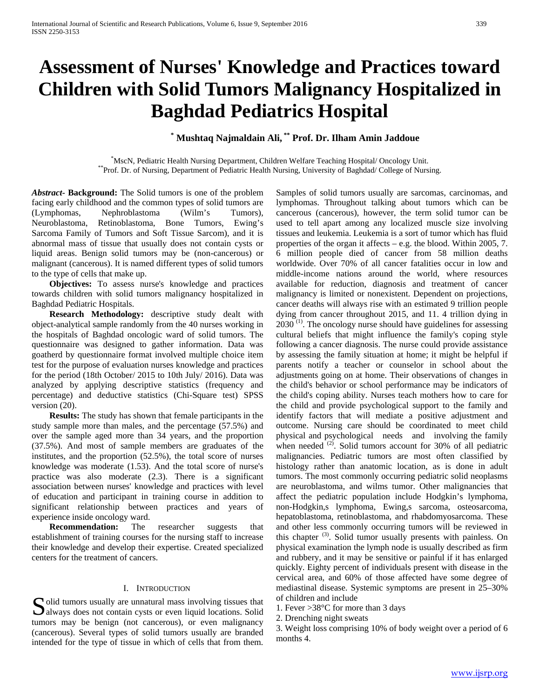# **Assessment of Nurses' Knowledge and Practices toward Children with Solid Tumors Malignancy Hospitalized in Baghdad Pediatrics Hospital**

# **\* Mushtaq Najmaldain Ali, \*\* Prof. Dr. Ilham Amin Jaddoue**

\*MscN, Pediatric Health Nursing Department, Children Welfare Teaching Hospital/ Oncology Unit. \*\*Prof. Dr. of Nursing, Department of Pediatric Health Nursing, University of Baghdad/ College of Nursing.

*Abstract***- Background:** The Solid tumors is one of the problem facing early childhood and the common types of solid tumors are (Lymphomas, Nephroblastoma (Wilm's Tumors), Neuroblastoma, Retinoblastoma, Bone Tumors, Ewing's Sarcoma Family of Tumors and Soft Tissue Sarcom), and it is abnormal mass of tissue that usually does not contain cysts or liquid areas. Benign solid tumors may be (non-cancerous) or malignant (cancerous). It is named different types of solid tumors to the type of cells that make up.

 **Objectives:** To assess nurse's knowledge and practices towards children with solid tumors malignancy hospitalized in Baghdad Pediatric Hospitals.

 **Research Methodology:** descriptive study dealt with object-analytical sample randomly from the 40 nurses working in the hospitals of Baghdad oncologic ward of solid tumors. The questionnaire was designed to gather information. Data was goatherd by questionnaire format involved multiple choice item test for the purpose of evaluation nurses knowledge and practices for the period (18th October/ 2015 to 10th July/ 2016). Data was analyzed by applying descriptive statistics (frequency and percentage) and deductive statistics (Chi-Square test) SPSS version (20).

 **Results:** The study has shown that female participants in the study sample more than males, and the percentage (57.5%) and over the sample aged more than 34 years, and the proportion (37.5%). And most of sample members are graduates of the institutes, and the proportion (52.5%), the total score of nurses knowledge was moderate (1.53). And the total score of nurse's practice was also moderate (2.3). There is a significant association between nurses' knowledge and practices with level of education and participant in training course in addition to significant relationship between practices and years of experience inside oncology ward.

 **Recommendation:** The researcher suggests that establishment of training courses for the nursing staff to increase their knowledge and develop their expertise. Created specialized centers for the treatment of cancers.

#### I. INTRODUCTION

Solid tumors usually are unnatural mass involving tissues that always does not contain cysts or even liquid locations. Solid always does not contain cysts or even liquid locations. Solid tumors may be benign (not cancerous), or even malignancy (cancerous). Several types of solid tumors usually are branded intended for the type of tissue in which of cells that from them.

Samples of solid tumors usually are sarcomas, carcinomas, and lymphomas. Throughout talking about tumors which can be cancerous (cancerous), however, the term solid tumor can be used to tell apart among any localized muscle size involving tissues and leukemia. Leukemia is a sort of tumor which has fluid properties of the organ it affects – e.g. the blood. Within 2005, 7. 6 million people died of cancer from 58 million deaths worldwide. Over 70% of all cancer fatalities occur in low and middle-income nations around the world, where resources available for reduction, diagnosis and treatment of cancer malignancy is limited or nonexistent. Dependent on projections, cancer deaths will always rise with an estimated 9 trillion people dying from cancer throughout 2015, and 11. 4 trillion dying in  $2030$ <sup>(1)</sup>. The oncology nurse should have guidelines for assessing cultural beliefs that might influence the family's coping style following a cancer diagnosis. The nurse could provide assistance by assessing the family situation at home; it might be helpful if parents notify a teacher or counselor in school about the adjustments going on at home. Their observations of changes in the child's behavior or school performance may be indicators of the child's coping ability. Nurses teach mothers how to care for the child and provide psychological support to the family and identify factors that will mediate a positive adjustment and outcome. Nursing care should be coordinated to meet child physical and psychological needs and involving the family when needed  $(2)$ . Solid tumors account for 30% of all pediatric malignancies. Pediatric tumors are most often classified by histology rather than anatomic location, as is done in adult tumors. The most commonly occurring pediatric solid neoplasms are neuroblastoma, and wilms tumor. Other malignancies that affect the pediatric population include Hodgkin's lymphoma, non-Hodgkin,s lymphoma, Ewing,s sarcoma, osteosarcoma, hepatoblastoma, retinoblastoma, and rhabdomyosarcoma. These and other less commonly occurring tumors will be reviewed in this chapter (3). Solid tumor usually presents with painless. On physical examination the lymph node is usually described as firm and rubbery, and it may be sensitive or painful if it has enlarged quickly. Eighty percent of individuals present with disease in the cervical area, and 60% of those affected have some degree of mediastinal disease. Systemic symptoms are present in 25–30% of children and include

1. Fever >38°C for more than 3 days

2. Drenching night sweats

3. Weight loss comprising 10% of body weight over a period of 6 months 4.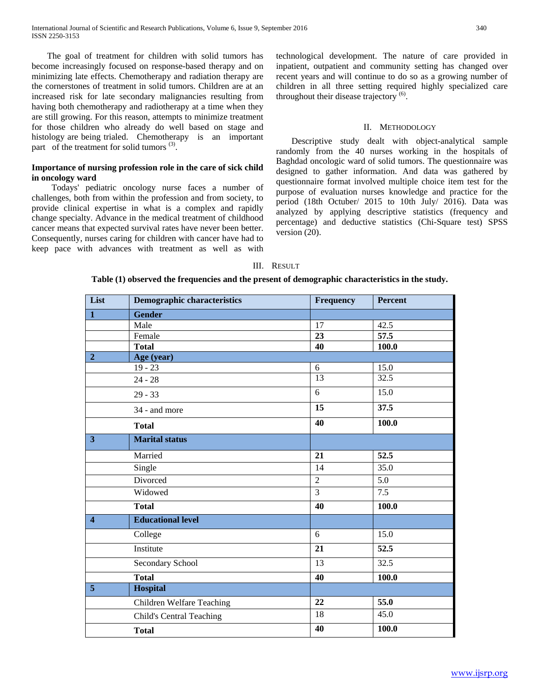The goal of treatment for children with solid tumors has become increasingly focused on response-based therapy and on minimizing late effects. Chemotherapy and radiation therapy are the cornerstones of treatment in solid tumors. Children are at an increased risk for late secondary malignancies resulting from having both chemotherapy and radiotherapy at a time when they are still growing. For this reason, attempts to minimize treatment for those children who already do well based on stage and histology are being trialed. Chemotherapy is an important part of the treatment for solid tumors  $(3)$ .

# **Importance of nursing profession role in the care of sick child in oncology ward**

 Todays' pediatric oncology nurse faces a number of challenges, both from within the profession and from society, to provide clinical expertise in what is a complex and rapidly change specialty. Advance in the medical treatment of childhood cancer means that expected survival rates have never been better. Consequently, nurses caring for children with cancer have had to keep pace with advances with treatment as well as with technological development. The nature of care provided in inpatient, outpatient and community setting has changed over recent years and will continue to do so as a growing number of children in all three setting required highly specialized care throughout their disease trajectory<sup>(6)</sup>.

## II. METHODOLOGY

 Descriptive study dealt with object-analytical sample randomly from the 40 nurses working in the hospitals of Baghdad oncologic ward of solid tumors. The questionnaire was designed to gather information. And data was gathered by questionnaire format involved multiple choice item test for the purpose of evaluation nurses knowledge and practice for the period (18th Octuber/ 2015 to 10th July/ 2016). Data was analyzed by applying descriptive statistics (frequency and percentage) and deductive statistics (Chi-Square test) SPSS version (20).

#### III. RESULT

### **Table (1) observed the frequencies and the present of demographic characteristics in the study.**

| List                    | <b>Demographic characteristics</b> | Frequency       | <b>Percent</b>    |
|-------------------------|------------------------------------|-----------------|-------------------|
| $\mathbf{1}$            | <b>Gender</b>                      |                 |                   |
|                         | Male                               | 17              | 42.5              |
|                         | Female                             | $\overline{23}$ | $\overline{57.5}$ |
|                         | <b>Total</b>                       | 40              | 100.0             |
| $\overline{2}$          | Age (year)                         |                 |                   |
|                         | $19 - 23$                          | 6               | 15.0              |
|                         | $24 - 28$                          | 13              | 32.5              |
|                         | $29 - 33$                          | $\overline{6}$  | 15.0              |
|                         | 34 - and more                      | 15              | 37.5              |
|                         | <b>Total</b>                       | 40              | 100.0             |
| $\overline{\mathbf{3}}$ | <b>Marital status</b>              |                 |                   |
|                         | Married                            | $\overline{21}$ | $\overline{52.5}$ |
|                         | Single                             | 14              | 35.0              |
|                         | Divorced                           | $\overline{2}$  | 5.0               |
|                         | Widowed                            | $\overline{3}$  | 7.5               |
|                         | <b>Total</b>                       | 40              | 100.0             |
| $\overline{\mathbf{4}}$ | <b>Educational level</b>           |                 |                   |
|                         | College                            | 6               | 15.0              |
|                         | Institute                          | 21              | 52.5              |
|                         | Secondary School                   | 13              | 32.5              |
|                         | <b>Total</b>                       | 40              | 100.0             |
| $\overline{5}$          | <b>Hospital</b>                    |                 |                   |
|                         | Children Welfare Teaching          | 22              | 55.0              |
|                         | <b>Child's Central Teaching</b>    | 18              | 45.0              |
|                         | <b>Total</b>                       | 40              | 100.0             |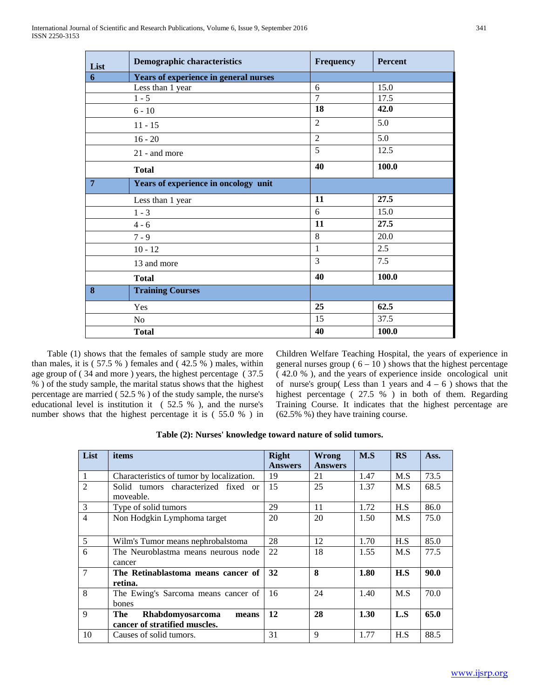| List           | <b>Demographic characteristics</b>    | <b>Frequency</b> | Percent |
|----------------|---------------------------------------|------------------|---------|
| 6              | Years of experience in general nurses |                  |         |
|                | Less than 1 year                      | 6                | 15.0    |
|                | $1 - 5$                               | $\overline{7}$   | 17.5    |
|                | $6 - 10$                              | 18               | 42.0    |
|                | $11 - 15$                             | $\overline{2}$   | 5.0     |
|                | $16 - 20$                             | $\overline{2}$   | 5.0     |
|                | 21 - and more                         | 5                | 12.5    |
|                | <b>Total</b>                          | 40               | 100.0   |
| $\overline{7}$ | Years of experience in oncology unit  |                  |         |
|                | Less than 1 year                      | 11               | 27.5    |
|                | $1 - 3$                               | 6                | 15.0    |
|                | $4 - 6$                               | 11               | 27.5    |
|                | $7 - 9$                               | 8                | 20.0    |
|                | $10 - 12$                             | 1                | 2.5     |
|                | 13 and more                           | 3                | 7.5     |
|                | <b>Total</b>                          | 40               | 100.0   |
| 8              | <b>Training Courses</b>               |                  |         |
|                | <b>Yes</b>                            | 25               | 62.5    |
|                | No                                    | 15               | 37.5    |
|                | <b>Total</b>                          | 40               | 100.0   |

 Table (1) shows that the females of sample study are more than males, it is ( 57.5 % ) females and ( 42.5 % ) males, within age group of ( 34 and more ) years, the highest percentage ( 37.5 % ) of the study sample, the marital status shows that the highest percentage are married ( 52.5 % ) of the study sample, the nurse's educational level is institution it ( 52.5 % ), and the nurse's number shows that the highest percentage it is ( 55.0 % ) in Children Welfare Teaching Hospital, the years of experience in general nurses group ( $6 - 10$ ) shows that the highest percentage ( 42.0 % ), and the years of experience inside oncological unit of nurse's group(Less than 1 years and  $4 - 6$ ) shows that the highest percentage ( 27.5 % ) in both of them. Regarding Training Course. It indicates that the highest percentage are (62.5% %) they have training course.

| List            | items                                                                    | <b>Right</b>   | Wrong          | M.S  | RS  | Ass. |
|-----------------|--------------------------------------------------------------------------|----------------|----------------|------|-----|------|
|                 |                                                                          | <b>Answers</b> | <b>Answers</b> |      |     |      |
| $\overline{1}$  | Characteristics of tumor by localization.                                | 19             | 21             | 1.47 | M.S | 73.5 |
| $\overline{2}$  | Solid tumors characterized fixed or<br>moveable.                         | 15             | 25             | 1.37 | M.S | 68.5 |
| $\overline{3}$  | Type of solid tumors                                                     | 29             | 11             | 1.72 | H.S | 86.0 |
| $\overline{4}$  | Non Hodgkin Lymphoma target                                              | 20             | 20             | 1.50 | M.S | 75.0 |
| 5               | Wilm's Tumor means nephrobalstoma                                        | 28             | 12             | 1.70 | H.S | 85.0 |
| 6               | The Neuroblastma means neurous node<br>cancer                            | 22             | 18             | 1.55 | M.S | 77.5 |
| $7\phantom{.0}$ | The Retinablastoma means cancer of<br>retina.                            | 32             | 8              | 1.80 | H.S | 90.0 |
| 8               | The Ewing's Sarcoma means cancer of<br>bones                             | 16             | 24             | 1.40 | M.S | 70.0 |
| 9               | The<br><b>Rhabdomyosarcoma</b><br>means<br>cancer of stratified muscles. | 12             | 28             | 1.30 | L.S | 65.0 |
| 10              | Causes of solid tumors.                                                  | 31             | 9              | 1.77 | H.S | 88.5 |

**Table (2): Nurses' knowledge toward nature of solid tumors.**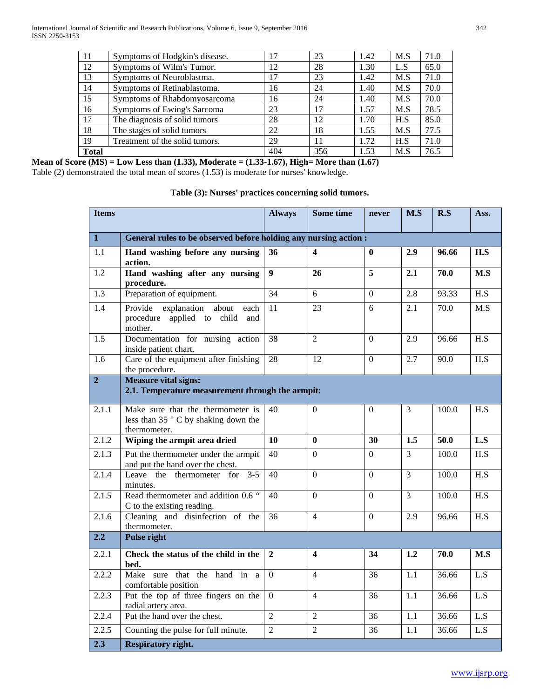| 11           | Symptoms of Hodgkin's disease. | 17  | 23  | 1.42 | M.S | 71.0 |
|--------------|--------------------------------|-----|-----|------|-----|------|
| 12           | Symptoms of Wilm's Tumor.      | 12  | 28  | 1.30 | L.S | 65.0 |
| 13           | Symptoms of Neuroblastma.      | 17  | 23  | 1.42 | M.S | 71.0 |
| 14           | Symptoms of Retinablastoma.    | 16  | 24  | 1.40 | M.S | 70.0 |
| 15           | Symptoms of Rhabdomyosarcoma   | 16  | 24  | 1.40 | M.S | 70.0 |
| 16           | Symptoms of Ewing's Sarcoma    | 23  | 17  | 1.57 | M.S | 78.5 |
| 17           | The diagnosis of solid tumors  | 28  | 12  | 1.70 | H.S | 85.0 |
| 18           | The stages of solid tumors     | 22  | 18  | 1.55 | M.S | 77.5 |
| 19           | Treatment of the solid tumors. | 29  | 11  | 1.72 | H.S | 71.0 |
| <b>Total</b> |                                | 404 | 356 | 1.53 | M.S | 76.5 |

**Mean of Score (MS) = Low Less than (1.33), Moderate = (1.33-1.67), High= More than (1.67)** Table (2) demonstrated the total mean of scores (1.53) is moderate for nurses' knowledge.

|  |  | Table (3): Nurses' practices concerning solid tumors. |
|--|--|-------------------------------------------------------|
|--|--|-------------------------------------------------------|

| <b>Items</b>     |                                                                                                   | <b>Always</b>  | Some time               | never          | M.S            | R.S   | Ass.                 |
|------------------|---------------------------------------------------------------------------------------------------|----------------|-------------------------|----------------|----------------|-------|----------------------|
| $\mathbf{1}$     | General rules to be observed before holding any nursing action :                                  |                |                         |                |                |       |                      |
| 1.1              | Hand washing before any nursing<br>action.                                                        | 36             | $\overline{\mathbf{4}}$ | $\mathbf{0}$   | 2.9            | 96.66 | H.S                  |
| 1.2              | Hand washing after any nursing<br>procedure.                                                      | $\overline{9}$ | 26                      | $\overline{5}$ | 2.1            | 70.0  | M.S                  |
| 1.3              | Preparation of equipment.                                                                         | 34             | $\overline{6}$          | $\overline{0}$ | 2.8            | 93.33 | H.S                  |
| 1.4              | Provide explanation about<br>each<br>procedure applied to child<br>and<br>mother.                 | 11             | 23                      | 6              | 2.1            | 70.0  | M.S                  |
| 1.5              | Documentation for nursing action<br>inside patient chart.                                         | 38             | $\overline{2}$          | $\Omega$       | 2.9            | 96.66 | H.S                  |
| 1.6              | Care of the equipment after finishing<br>the procedure.                                           | 28             | 12                      | $\Omega$       | 2.7            | 90.0  | H.S                  |
| 2 <sup>1</sup>   | <b>Measure vital signs:</b><br>2.1. Temperature measurement through the armpit:                   |                |                         |                |                |       |                      |
| 2.1.1            | Make sure that the thermometer is<br>less than 35 $\degree$ C by shaking down the<br>thermometer. | 40             | $\theta$                | $\theta$       | 3              | 100.0 | $\operatorname{H.S}$ |
| 2.1.2            | Wiping the armpit area dried                                                                      | 10             | $\mathbf{0}$            | 30             | 1.5            | 50.0  | L.S                  |
| 2.1.3            | Put the thermometer under the armpit<br>and put the hand over the chest.                          | 40             | $\overline{0}$          | $\overline{0}$ | $\overline{3}$ | 100.0 | H.S                  |
| 2.1.4            | Leave the thermometer for 3-5<br>minutes.                                                         | 40             | $\Omega$                | $\Omega$       | $\overline{3}$ | 100.0 | H.S                  |
| 2.1.5            | Read thermometer and addition 0.6 °<br>C to the existing reading.                                 | 40             | $\Omega$                | $\Omega$       | $\overline{3}$ | 100.0 | $\overline{H.S}$     |
| 2.1.6            | Cleaning and disinfection of the<br>thermometer.                                                  | 36             | $\overline{4}$          | $\Omega$       | 2.9            | 96.66 | H.S                  |
| $\overline{2.2}$ | <b>Pulse right</b>                                                                                |                |                         |                |                |       |                      |
| 2.2.1            | Check the status of the child in the<br>bed.                                                      | $\overline{2}$ | 4                       | 34             | 1.2            | 70.0  | M.S                  |
| 2.2.2            | Make sure that the hand in a<br>comfortable position                                              | $\Omega$       | $\overline{4}$          | 36             | 1.1            | 36.66 | L.S                  |
| 2.2.3            | Put the top of three fingers on the<br>radial artery area.                                        | $\Omega$       | $\overline{4}$          | 36             | 1.1            | 36.66 | L.S                  |
| 2.2.4            | Put the hand over the chest.                                                                      | $\overline{2}$ | $\overline{2}$          | 36             | 1.1            | 36.66 | L.S                  |
| 2.2.5            | Counting the pulse for full minute.                                                               | $\overline{2}$ | $\overline{2}$          | 36             | 1.1            | 36.66 | L.S                  |
| $\overline{2.3}$ | <b>Respiratory right.</b>                                                                         |                |                         |                |                |       |                      |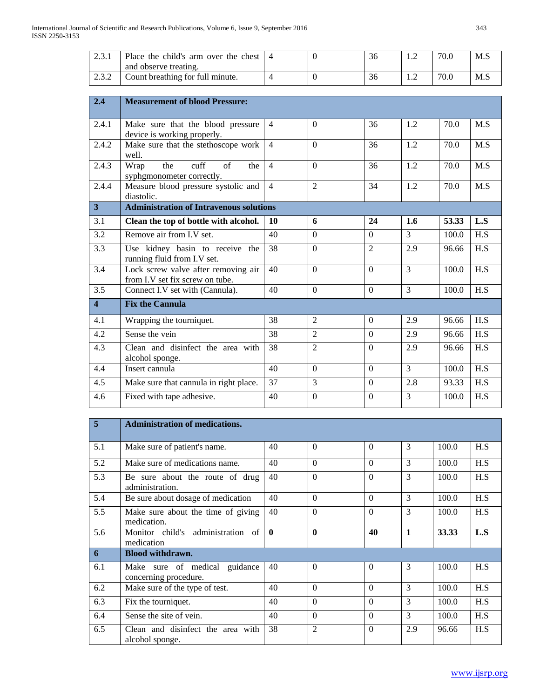| 2.3.1                   | Place the child's arm over the chest<br>and observe treating.          | $\overline{\mathcal{A}}$ | $\Omega$       | 36               | 1.2            | 70.0  | M.S |
|-------------------------|------------------------------------------------------------------------|--------------------------|----------------|------------------|----------------|-------|-----|
| 2.3.2                   | Count breathing for full minute.                                       | $\overline{4}$           | $\Omega$       | 36               | 1.2            | 70.0  | M.S |
|                         |                                                                        |                          |                |                  |                |       |     |
| 2.4                     | <b>Measurement of blood Pressure:</b>                                  |                          |                |                  |                |       |     |
|                         |                                                                        |                          |                |                  |                |       |     |
| 2.4.1                   | Make sure that the blood pressure<br>device is working properly.       | $\overline{4}$           | $\Omega$       | 36               | 1.2            | 70.0  | M.S |
| 2.4.2                   | Make sure that the stethoscope work<br>well.                           | $\overline{4}$           | $\overline{0}$ | 36               | 1.2            | 70.0  | M.S |
| 2.4.3                   | cuff<br>of<br>the<br>Wrap<br>the<br>syphgmonometer correctly.          | $\overline{4}$           | $\Omega$       | 36               | 1.2            | 70.0  | M.S |
| 2.4.4                   | Measure blood pressure systolic and<br>diastolic.                      | $\overline{4}$           | $\overline{2}$ | 34               | 1.2            | 70.0  | M.S |
| 3 <sup>1</sup>          | <b>Administration of Intravenous solutions</b>                         |                          |                |                  |                |       |     |
| 3.1                     | Clean the top of bottle with alcohol.                                  | 10                       | 6              | 24               | 1.6            | 53.33 | L.S |
|                         | Remove air from I.V set.                                               | 40                       | $\overline{0}$ | $\overline{0}$   | $\overline{3}$ | 100.0 | H.S |
| 3.2                     |                                                                        |                          |                |                  |                |       |     |
| 3.3                     | Use kidney basin to receive the<br>running fluid from I.V set.         | 38                       | $\overline{0}$ | $\overline{2}$   | 2.9            | 96.66 | H.S |
| 3.4                     | Lock screw valve after removing air<br>from I.V set fix screw on tube. | 40                       | $\mathbf{0}$   | $\overline{0}$   | 3              | 100.0 | H.S |
| 3.5                     | Connect I.V set with (Cannula).                                        | 40                       | $\overline{0}$ | $\overline{0}$   | $\overline{3}$ | 100.0 | H.S |
| $\overline{\mathbf{4}}$ | <b>Fix the Cannula</b>                                                 |                          |                |                  |                |       |     |
| 4.1                     | Wrapping the tourniquet.                                               | 38                       | $\overline{2}$ | $\boldsymbol{0}$ | 2.9            | 96.66 | H.S |
| 4.2                     | Sense the vein                                                         | 38                       | $\overline{2}$ | $\mathbf{0}$     | 2.9            | 96.66 | H.S |
| 4.3                     | Clean and disinfect the area with<br>alcohol sponge.                   | 38                       | $\overline{2}$ | $\overline{0}$   | 2.9            | 96.66 | H.S |
| 4.4                     | Insert cannula                                                         | 40                       | $\mathbf{0}$   | $\mathbf{0}$     | $\overline{3}$ | 100.0 | H.S |
| 4.5                     | Make sure that cannula in right place.                                 | 37                       | 3              | $\boldsymbol{0}$ | 2.8            | 93.33 | H.S |

| 5   | <b>Administration of medications.</b>                     |              |                |          |              |       |     |
|-----|-----------------------------------------------------------|--------------|----------------|----------|--------------|-------|-----|
| 5.1 | Make sure of patient's name.                              | 40           | $\Omega$       | $\Omega$ | 3            | 100.0 | H.S |
| 5.2 | Make sure of medications name.                            | 40           | $\Omega$       | $\Omega$ | 3            | 100.0 | H.S |
| 5.3 | Be sure about the route of drug<br>administration.        | 40           | $\Omega$       | $\Omega$ | 3            | 100.0 | H.S |
| 5.4 | Be sure about dosage of medication                        | 40           | $\Omega$       | $\Omega$ | 3            | 100.0 | H.S |
| 5.5 | Make sure about the time of giving<br>medication.         | 40           | $\Omega$       | $\Omega$ | 3            | 100.0 | H.S |
| 5.6 | Monitor child's administration of<br>medication           | $\mathbf{0}$ | $\mathbf{0}$   | 40       | $\mathbf{1}$ | 33.33 | L.S |
| 6   | <b>Blood withdrawn.</b>                                   |              |                |          |              |       |     |
| 6.1 | Make sure of medical<br>guidance<br>concerning procedure. | 40           | $\Omega$       | $\Omega$ | 3            | 100.0 | H.S |
| 6.2 | Make sure of the type of test.                            | 40           | $\Omega$       | $\Omega$ | 3            | 100.0 | H.S |
| 6.3 | Fix the tourniquet.                                       | 40           | $\Omega$       | $\Omega$ | 3            | 100.0 | H.S |
| 6.4 | Sense the site of vein.                                   | 40           | $\Omega$       | $\Omega$ | 3            | 100.0 | H.S |
| 6.5 | Clean and disinfect the area with<br>alcohol sponge.      | 38           | $\overline{2}$ | $\Omega$ | 2.9          | 96.66 | H.S |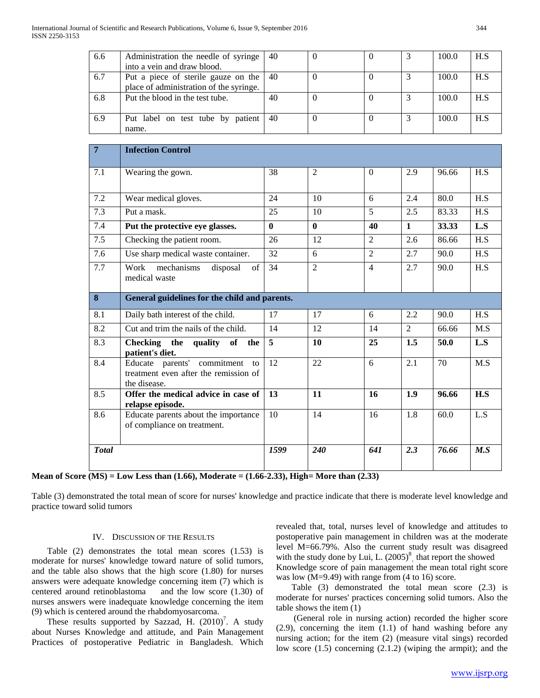| 6.6 | Administration the needle of syringe    | 40 |  | 100.0 | H.S |
|-----|-----------------------------------------|----|--|-------|-----|
|     | into a vein and draw blood.             |    |  |       |     |
| 6.7 | Put a piece of sterile gauze on the     | 40 |  | 100.0 | H.S |
|     | place of administration of the syringe. |    |  |       |     |
| 6.8 | Put the blood in the test tube.         | 40 |  | 100.0 | H.S |
|     |                                         |    |  |       |     |
| 6.9 | Put label on test tube by patient       | 40 |  | 100.0 | H.S |
|     | name.                                   |    |  |       |     |

| $\overline{7}$ | <b>Infection Control</b>                                                                   |          |                |                |              |       |     |
|----------------|--------------------------------------------------------------------------------------------|----------|----------------|----------------|--------------|-------|-----|
| 7.1            | Wearing the gown.                                                                          | 38       | $\overline{2}$ | $\Omega$       | 2.9          | 96.66 | H.S |
| 7.2            | Wear medical gloves.                                                                       | 24       | 10             | 6              | 2.4          | 80.0  | H.S |
| 7.3            | Put a mask.                                                                                | 25       | 10             | 5              | 2.5          | 83.33 | H.S |
| 7.4            | Put the protective eye glasses.                                                            | $\bf{0}$ | $\mathbf{0}$   | 40             | $\mathbf{1}$ | 33.33 | L.S |
| 7.5            | Checking the patient room.                                                                 | 26       | 12             | $\overline{2}$ | 2.6          | 86.66 | H.S |
| 7.6            | Use sharp medical waste container.                                                         | 32       | 6              | $\overline{2}$ | 2.7          | 90.0  | H.S |
| 7.7            | Work<br>mechanisms<br>disposal<br>$\sigma$ f<br>medical waste                              | 34       | $\overline{2}$ | $\overline{4}$ | 2.7          | 90.0  | H.S |
| 8              | General guidelines for the child and parents.                                              |          |                |                |              |       |     |
| 8.1            | Daily bath interest of the child.                                                          | 17       | 17             | 6              | 2.2          | 90.0  | H.S |
| 8.2            | Cut and trim the nails of the child.                                                       | 14       | 12             | 14             | 2            | 66.66 | M.S |
| 8.3            | Checking the<br>quality of the<br>patient's diet.                                          | 5        | <b>10</b>      | 25             | 1.5          | 50.0  | L.S |
| 8.4            | Educate parents' commitment<br>to<br>treatment even after the remission of<br>the disease. | 12       | 22             | 6              | 2.1          | 70    | M.S |
| 8.5            | Offer the medical advice in case of<br>relapse episode.                                    | 13       | 11             | 16             | 1.9          | 96.66 | H.S |
| 8.6            | Educate parents about the importance<br>of compliance on treatment.                        | 10       | 14             | 16             | 1.8          | 60.0  | L.S |
| <b>Total</b>   |                                                                                            | 1599     | <b>240</b>     | 641            | 2.3          | 76.66 | M.S |

**Mean of Score (MS) = Low Less than (1.66), Moderate = (1.66-2.33), High= More than (2.33)**

Table (3) demonstrated the total mean of score for nurses' knowledge and practice indicate that there is moderate level knowledge and practice toward solid tumors

#### IV. DISCUSSION OF THE RESULTS

 Table (2) demonstrates the total mean scores (1.53) is moderate for nurses' knowledge toward nature of solid tumors, and the table also shows that the high score (1.80) for nurses answers were adequate knowledge concerning item (7) which is centered around retinoblastoma and the low score (1.30) of nurses answers were inadequate knowledge concerning the item (9) which is centered around the rhabdomyosarcoma.

These results supported by Sazzad, H. (2010)<sup>7</sup>. A study about Nurses Knowledge and attitude, and Pain Management Practices of postoperative Pediatric in Bangladesh. Which

revealed that, total, nurses level of knowledge and attitudes to postoperative pain management in children was at the moderate level M=66.79%. Also the current study result was disagreed with the study done by Lui, L. (2005)<sup>8</sup>, that report the showed Knowledge score of pain management the mean total right score was low (M=9.49) with range from (4 to 16) score.

 Table (3) demonstrated the total mean score (2.3) is moderate for nurses' practices concerning solid tumors. Also the table shows the item (1)

 (General role in nursing action) recorded the higher score (2.9), concerning the item (1.1) of hand washing before any nursing action; for the item (2) (measure vital sings) recorded low score (1.5) concerning (2.1.2) (wiping the armpit); and the